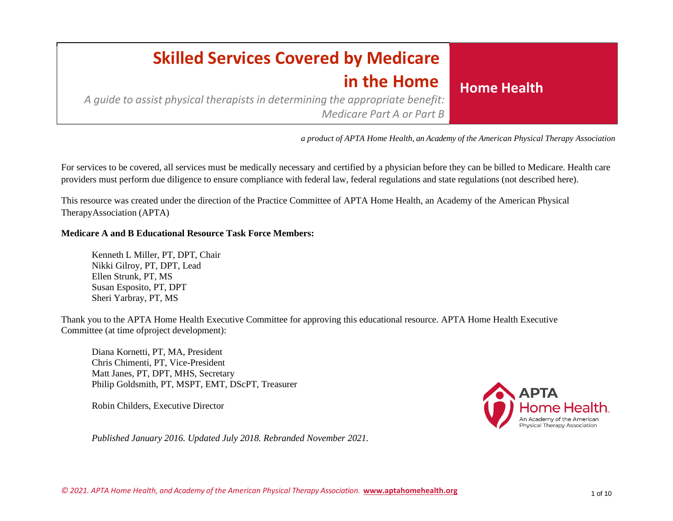### **Home Health Skilled Services Covered by Medicare in the Home**

*A guide to assist physical therapists in determining the appropriate benefit: Medicare Part A or Part B*

 *a product of APTA Home Health, an Academy of the American Physical Therapy Association*

For services to be covered, all services must be medically necessary and certified by a physician before they can be billed to Medicare. Health care providers must perform due diligence to ensure compliance with federal law, federal regulations and state regulations (not described here).

This resource was created under the direction of the Practice Committee of APTA Home Health, an Academy of the American Physical TherapyAssociation (APTA)

#### **Medicare A and B Educational Resource Task Force Members:**

Kenneth L Miller, PT, DPT, Chair Nikki Gilroy, PT, DPT, Lead Ellen Strunk, PT, MS Susan Esposito, PT, DPT Sheri Yarbray, PT, MS

Thank you to the APTA Home Health Executive Committee for approving this educational resource. APTA Home Health Executive Committee (at time ofproject development):

Diana Kornetti, PT, MA, President Chris Chimenti, PT, Vice-President Matt Janes, PT, DPT, MHS, Secretary Philip Goldsmith, PT, MSPT, EMT, DScPT, Treasurer

Robin Childers, Executive Director



*Published January 2016. Updated July 2018. Rebranded November 2021.*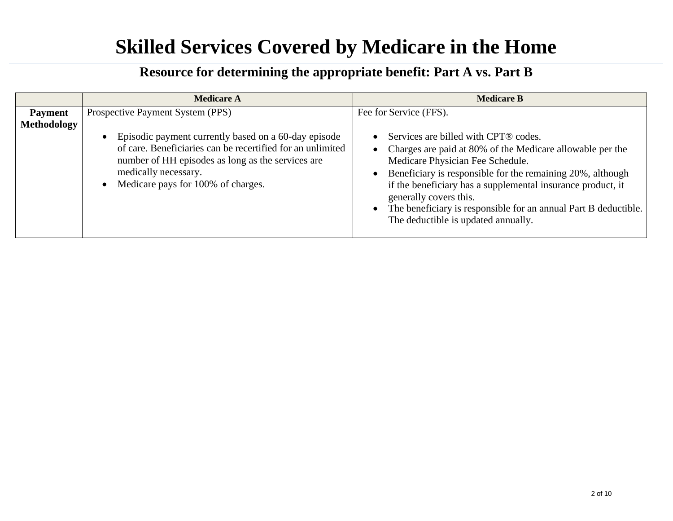|                                      | <b>Medicare A</b>                                                                                                                                                                                                                                                                                   | <b>Medicare B</b>                                                                                                                                                                                                                                                                                                                   |
|--------------------------------------|-----------------------------------------------------------------------------------------------------------------------------------------------------------------------------------------------------------------------------------------------------------------------------------------------------|-------------------------------------------------------------------------------------------------------------------------------------------------------------------------------------------------------------------------------------------------------------------------------------------------------------------------------------|
| <b>Payment</b><br><b>Methodology</b> | Prospective Payment System (PPS)<br>Episodic payment currently based on a 60-day episode<br>$\bullet$<br>of care. Beneficiaries can be recertified for an unlimited<br>number of HH episodes as long as the services are<br>medically necessary.<br>Medicare pays for 100% of charges.<br>$\bullet$ | Fee for Service (FFS).<br>Services are billed with CPT® codes.<br>$\bullet$<br>Charges are paid at 80% of the Medicare allowable per the<br>$\bullet$<br>Medicare Physician Fee Schedule.<br>Beneficiary is responsible for the remaining 20%, although<br>$\bullet$<br>if the beneficiary has a supplemental insurance product, it |
|                                      |                                                                                                                                                                                                                                                                                                     | generally covers this.<br>The beneficiary is responsible for an annual Part B deductible.<br>$\bullet$<br>The deductible is updated annually.                                                                                                                                                                                       |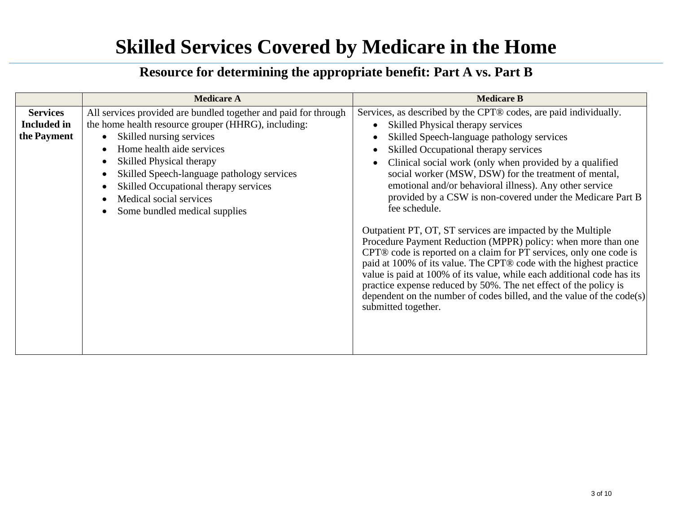|                    | <b>Medicare A</b>                                               | <b>Medicare B</b>                                                                                                                                                                                                                                                                                                                                                                                                                                                                                                        |
|--------------------|-----------------------------------------------------------------|--------------------------------------------------------------------------------------------------------------------------------------------------------------------------------------------------------------------------------------------------------------------------------------------------------------------------------------------------------------------------------------------------------------------------------------------------------------------------------------------------------------------------|
| <b>Services</b>    | All services provided are bundled together and paid for through | Services, as described by the CPT® codes, are paid individually.                                                                                                                                                                                                                                                                                                                                                                                                                                                         |
| <b>Included</b> in | the home health resource grouper (HHRG), including:             | Skilled Physical therapy services<br>$\bullet$                                                                                                                                                                                                                                                                                                                                                                                                                                                                           |
| the Payment        | Skilled nursing services<br>$\bullet$                           | Skilled Speech-language pathology services                                                                                                                                                                                                                                                                                                                                                                                                                                                                               |
|                    | Home health aide services                                       | Skilled Occupational therapy services<br>$\bullet$                                                                                                                                                                                                                                                                                                                                                                                                                                                                       |
|                    | <b>Skilled Physical therapy</b>                                 | Clinical social work (only when provided by a qualified                                                                                                                                                                                                                                                                                                                                                                                                                                                                  |
|                    | Skilled Speech-language pathology services                      | social worker (MSW, DSW) for the treatment of mental,                                                                                                                                                                                                                                                                                                                                                                                                                                                                    |
|                    | Skilled Occupational therapy services                           | emotional and/or behavioral illness). Any other service                                                                                                                                                                                                                                                                                                                                                                                                                                                                  |
|                    | Medical social services                                         | provided by a CSW is non-covered under the Medicare Part B                                                                                                                                                                                                                                                                                                                                                                                                                                                               |
|                    | Some bundled medical supplies                                   | fee schedule.                                                                                                                                                                                                                                                                                                                                                                                                                                                                                                            |
|                    |                                                                 | Outpatient PT, OT, ST services are impacted by the Multiple<br>Procedure Payment Reduction (MPPR) policy: when more than one<br>CPT® code is reported on a claim for PT services, only one code is<br>paid at 100% of its value. The CPT® code with the highest practice<br>value is paid at 100% of its value, while each additional code has its<br>practice expense reduced by 50%. The net effect of the policy is<br>dependent on the number of codes billed, and the value of the $code(s)$<br>submitted together. |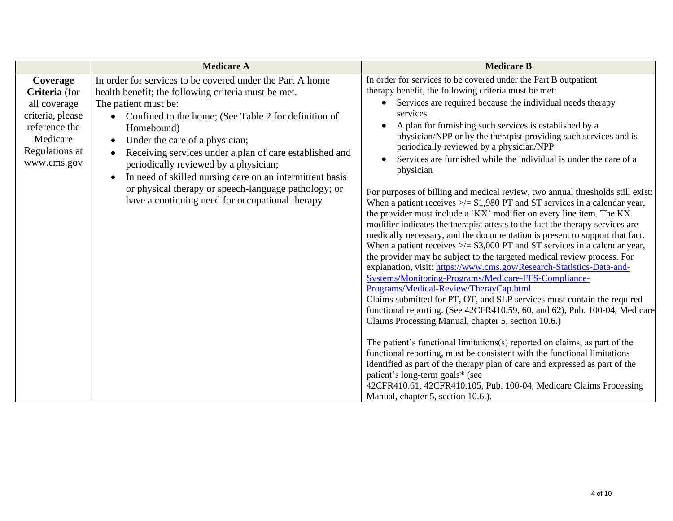|                                                                                                                             | <b>Medicare A</b>                                                                                                                                                                                                                                                                                                                                                                                                                                                                                                                        | <b>Medicare B</b>                                                                                                                                                                                                                                                                                                                                                                                                                                                                                                                                                                                                                                                                                                                                                                                                                                                                                                                                                                                                                                                                                                                                                                                                                                                                                                                                                                                                                                                                                                                                                                                                                                                                                                                                                                                                                         |
|-----------------------------------------------------------------------------------------------------------------------------|------------------------------------------------------------------------------------------------------------------------------------------------------------------------------------------------------------------------------------------------------------------------------------------------------------------------------------------------------------------------------------------------------------------------------------------------------------------------------------------------------------------------------------------|-------------------------------------------------------------------------------------------------------------------------------------------------------------------------------------------------------------------------------------------------------------------------------------------------------------------------------------------------------------------------------------------------------------------------------------------------------------------------------------------------------------------------------------------------------------------------------------------------------------------------------------------------------------------------------------------------------------------------------------------------------------------------------------------------------------------------------------------------------------------------------------------------------------------------------------------------------------------------------------------------------------------------------------------------------------------------------------------------------------------------------------------------------------------------------------------------------------------------------------------------------------------------------------------------------------------------------------------------------------------------------------------------------------------------------------------------------------------------------------------------------------------------------------------------------------------------------------------------------------------------------------------------------------------------------------------------------------------------------------------------------------------------------------------------------------------------------------------|
| Coverage<br>Criteria (for<br>all coverage<br>criteria, please<br>reference the<br>Medicare<br>Regulations at<br>www.cms.gov | In order for services to be covered under the Part A home<br>health benefit; the following criteria must be met.<br>The patient must be:<br>Confined to the home; (See Table 2 for definition of<br>Homebound)<br>Under the care of a physician;<br>Receiving services under a plan of care established and<br>periodically reviewed by a physician;<br>In need of skilled nursing care on an intermittent basis<br>$\bullet$<br>or physical therapy or speech-language pathology; or<br>have a continuing need for occupational therapy | In order for services to be covered under the Part B outpatient<br>therapy benefit, the following criteria must be met:<br>Services are required because the individual needs therapy<br>services<br>A plan for furnishing such services is established by a<br>$\bullet$<br>physician/NPP or by the therapist providing such services and is<br>periodically reviewed by a physician/NPP<br>Services are furnished while the individual is under the care of a<br>physician<br>For purposes of billing and medical review, two annual thresholds still exist:<br>When a patient receives $\ge$ = \$1,980 PT and ST services in a calendar year,<br>the provider must include a 'KX' modifier on every line item. The KX<br>modifier indicates the therapist attests to the fact the therapy services are<br>medically necessary, and the documentation is present to support that fact.<br>When a patient receives $\ge$ /= \$3,000 PT and ST services in a calendar year,<br>the provider may be subject to the targeted medical review process. For<br>explanation, visit: https://www.cms.gov/Research-Statistics-Data-and-<br>Systems/Monitoring-Programs/Medicare-FFS-Compliance-<br>Programs/Medical-Review/TherayCap.html<br>Claims submitted for PT, OT, and SLP services must contain the required<br>functional reporting. (See 42CFR410.59, 60, and 62), Pub. 100-04, Medicare<br>Claims Processing Manual, chapter 5, section 10.6.)<br>The patient's functional limitations(s) reported on claims, as part of the<br>functional reporting, must be consistent with the functional limitations<br>identified as part of the therapy plan of care and expressed as part of the<br>patient's long-term goals* (see<br>42CFR410.61, 42CFR410.105, Pub. 100-04, Medicare Claims Processing<br>Manual, chapter 5, section 10.6.). |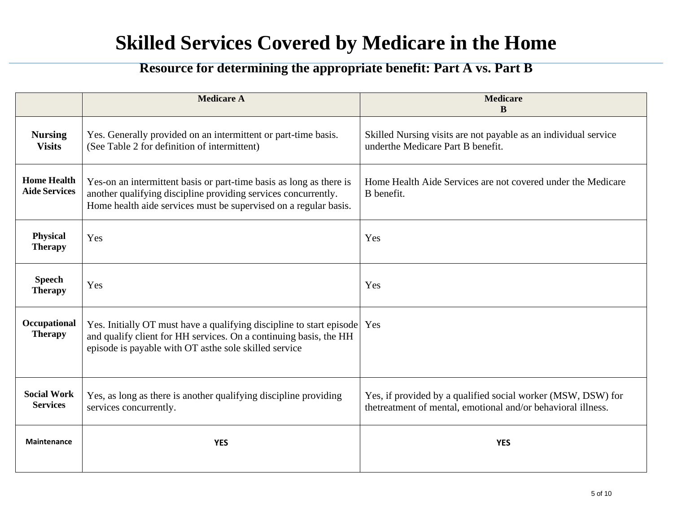|                                            | <b>Medicare A</b>                                                                                                                                                                                         | <b>Medicare</b><br>$\bf{B}$                                                                                                  |
|--------------------------------------------|-----------------------------------------------------------------------------------------------------------------------------------------------------------------------------------------------------------|------------------------------------------------------------------------------------------------------------------------------|
| <b>Nursing</b><br><b>Visits</b>            | Yes. Generally provided on an intermittent or part-time basis.<br>(See Table 2 for definition of intermittent)                                                                                            | Skilled Nursing visits are not payable as an individual service<br>underthe Medicare Part B benefit.                         |
| <b>Home Health</b><br><b>Aide Services</b> | Yes-on an intermittent basis or part-time basis as long as there is<br>another qualifying discipline providing services concurrently.<br>Home health aide services must be supervised on a regular basis. | Home Health Aide Services are not covered under the Medicare<br>B benefit.                                                   |
| Physical<br><b>Therapy</b>                 | Yes                                                                                                                                                                                                       | Yes                                                                                                                          |
| <b>Speech</b><br><b>Therapy</b>            | Yes                                                                                                                                                                                                       | Yes                                                                                                                          |
| Occupational<br><b>Therapy</b>             | Yes. Initially OT must have a qualifying discipline to start episode<br>and qualify client for HH services. On a continuing basis, the HH<br>episode is payable with OT asthe sole skilled service        | Yes                                                                                                                          |
| <b>Social Work</b><br><b>Services</b>      | Yes, as long as there is another qualifying discipline providing<br>services concurrently.                                                                                                                | Yes, if provided by a qualified social worker (MSW, DSW) for<br>thetreatment of mental, emotional and/or behavioral illness. |
| <b>Maintenance</b>                         | <b>YES</b>                                                                                                                                                                                                | <b>YES</b>                                                                                                                   |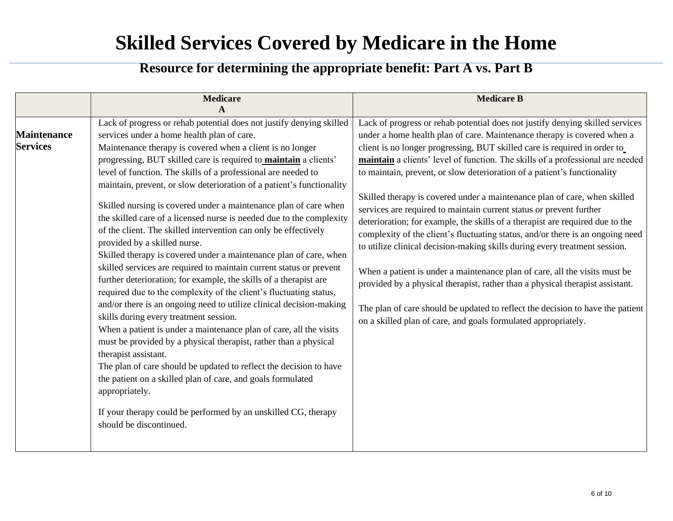|                                       | <b>Medicare</b><br>A                                                                                                                                                                                                                                                                                                                                                                                                                                                                                                                                                                                                                                                                                                                                                                                                                                                                                                                                                                                                                                                                                                                                                                                                                                                                                                                                                                                                                                                              | <b>Medicare B</b>                                                                                                                                                                                                                                                                                                                                                                                                                                                                                                                                                                                                                                                                                                                                                                                                                                                                                                                                                                                                                                                                                                           |
|---------------------------------------|-----------------------------------------------------------------------------------------------------------------------------------------------------------------------------------------------------------------------------------------------------------------------------------------------------------------------------------------------------------------------------------------------------------------------------------------------------------------------------------------------------------------------------------------------------------------------------------------------------------------------------------------------------------------------------------------------------------------------------------------------------------------------------------------------------------------------------------------------------------------------------------------------------------------------------------------------------------------------------------------------------------------------------------------------------------------------------------------------------------------------------------------------------------------------------------------------------------------------------------------------------------------------------------------------------------------------------------------------------------------------------------------------------------------------------------------------------------------------------------|-----------------------------------------------------------------------------------------------------------------------------------------------------------------------------------------------------------------------------------------------------------------------------------------------------------------------------------------------------------------------------------------------------------------------------------------------------------------------------------------------------------------------------------------------------------------------------------------------------------------------------------------------------------------------------------------------------------------------------------------------------------------------------------------------------------------------------------------------------------------------------------------------------------------------------------------------------------------------------------------------------------------------------------------------------------------------------------------------------------------------------|
| <b>Maintenance</b><br><b>Services</b> | Lack of progress or rehab potential does not justify denying skilled<br>services under a home health plan of care.<br>Maintenance therapy is covered when a client is no longer<br>progressing, BUT skilled care is required to <b>maintain</b> a clients'<br>level of function. The skills of a professional are needed to<br>maintain, prevent, or slow deterioration of a patient's functionality<br>Skilled nursing is covered under a maintenance plan of care when<br>the skilled care of a licensed nurse is needed due to the complexity<br>of the client. The skilled intervention can only be effectively<br>provided by a skilled nurse.<br>Skilled therapy is covered under a maintenance plan of care, when<br>skilled services are required to maintain current status or prevent<br>further deterioration; for example, the skills of a therapist are<br>required due to the complexity of the client's fluctuating status,<br>and/or there is an ongoing need to utilize clinical decision-making<br>skills during every treatment session.<br>When a patient is under a maintenance plan of care, all the visits<br>must be provided by a physical therapist, rather than a physical<br>therapist assistant.<br>The plan of care should be updated to reflect the decision to have<br>the patient on a skilled plan of care, and goals formulated<br>appropriately.<br>If your therapy could be performed by an unskilled CG, therapy<br>should be discontinued. | Lack of progress or rehab potential does not justify denying skilled services<br>under a home health plan of care. Maintenance therapy is covered when a<br>client is no longer progressing, BUT skilled care is required in order to<br>maintain a clients' level of function. The skills of a professional are needed<br>to maintain, prevent, or slow deterioration of a patient's functionality<br>Skilled therapy is covered under a maintenance plan of care, when skilled<br>services are required to maintain current status or prevent further<br>deterioration; for example, the skills of a therapist are required due to the<br>complexity of the client's fluctuating status, and/or there is an ongoing need<br>to utilize clinical decision-making skills during every treatment session.<br>When a patient is under a maintenance plan of care, all the visits must be<br>provided by a physical therapist, rather than a physical therapist assistant.<br>The plan of care should be updated to reflect the decision to have the patient<br>on a skilled plan of care, and goals formulated appropriately. |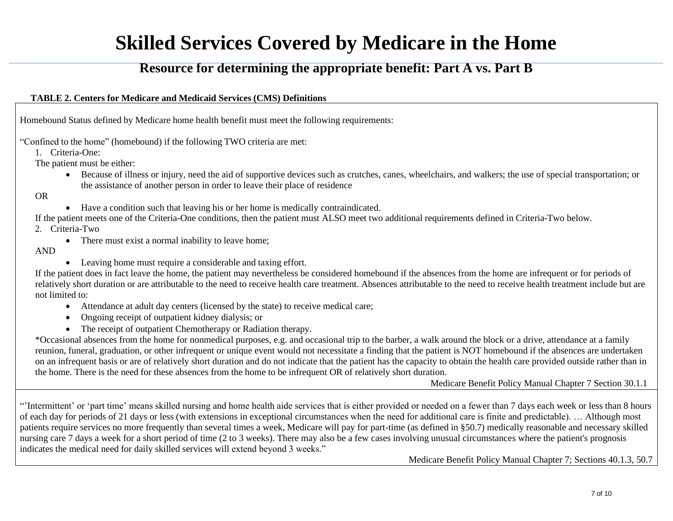#### **Resource for determining the appropriate benefit: Part A vs. Part B**

#### **TABLE 2. Centers for Medicare and Medicaid Services (CMS) Definitions**

Homebound Status defined by Medicare home health benefit must meet the following requirements:

"Confined to the home" (homebound) if the following TWO criteria are met:

1. Criteria-One:

The patient must be either:

• Because of illness or injury, need the aid of supportive devices such as crutches, canes, wheelchairs, and walkers; the use of special transportation; or the assistance of another person in order to leave their place of residence

OR

- Have a condition such that leaving his or her home is medically contraindicated.
- If the patient meets one of the Criteria-One conditions, then the patient must ALSO meet two additional requirements defined in Criteria-Two below.

2. Criteria-Two

- There must exist a normal inability to leave home;
- AND
- Leaving home must require a considerable and taxing effort.

If the patient does in fact leave the home, the patient may nevertheless be considered homebound if the absences from the home are infrequent or for periods of relatively short duration or are attributable to the need to receive health care treatment. Absences attributable to the need to receive health treatment include but are not limited to:

- Attendance at adult day centers (licensed by the state) to receive medical care;
- Ongoing receipt of outpatient kidney dialysis; or
- The receipt of outpatient Chemotherapy or Radiation therapy.

\*Occasional absences from the home for nonmedical purposes, e.g. and occasional trip to the barber, a walk around the block or a drive, attendance at a family reunion, funeral, graduation, or other infrequent or unique event would not necessitate a finding that the patient is NOT homebound if the absences are undertaken on an infrequent basis or are of relatively short duration and do not indicate that the patient has the capacity to obtain the health care provided outside rather than in the home. There is the need for these absences from the home to be infrequent OR of relatively short duration.

Medicare Benefit Policy Manual Chapter 7 Section 30.1.1

"'Intermittent' or 'part time' means skilled nursing and home health aide services that is either provided or needed on a fewer than 7 days each week or less than 8 hours of each day for periods of 21 days or less (with extensions in exceptional circumstances when the need for additional care is finite and predictable). … Although most patients require services no more frequently than several times a week, Medicare will pay for part-time (as defined in §50.7) medically reasonable and necessary skilled nursing care 7 days a week for a short period of time (2 to 3 weeks). There may also be a few cases involving unusual circumstances where the patient's prognosis indicates the medical need for daily skilled services will extend beyond 3 weeks."

Medicare Benefit Policy Manual Chapter 7; Sections 40.1.3, 50.7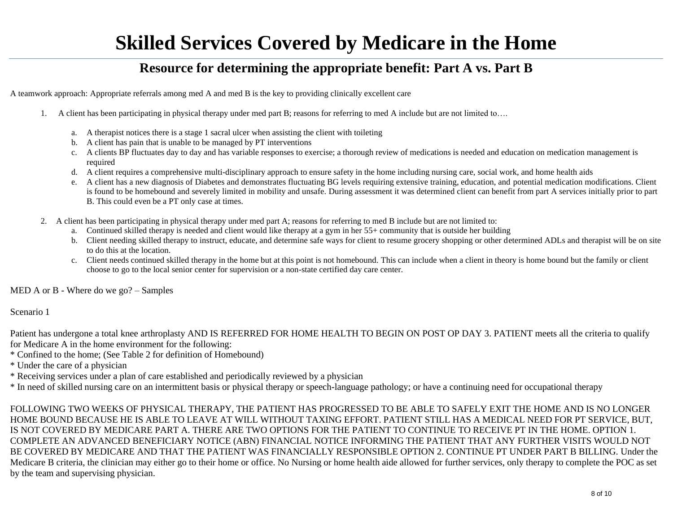#### **Resource for determining the appropriate benefit: Part A vs. Part B**

A teamwork approach: Appropriate referrals among med A and med B is the key to providing clinically excellent care

- 1. A client has been participating in physical therapy under med part B; reasons for referring to med A include but are not limited to….
	- a. A therapist notices there is a stage 1 sacral ulcer when assisting the client with toileting
	- b. A client has pain that is unable to be managed by PT interventions
	- c. A clients BP fluctuates day to day and has variable responses to exercise; a thorough review of medications is needed and education on medication management is required
	- d. A client requires a comprehensive multi-disciplinary approach to ensure safety in the home including nursing care, social work, and home health aids
	- e. A client has a new diagnosis of Diabetes and demonstrates fluctuating BG levels requiring extensive training, education, and potential medication modifications. Client is found to be homebound and severely limited in mobility and unsafe. During assessment it was determined client can benefit from part A services initially prior to part B. This could even be a PT only case at times.
- 2. A client has been participating in physical therapy under med part A; reasons for referring to med B include but are not limited to:
	- a. Continued skilled therapy is needed and client would like therapy at a gym in her 55+ community that is outside her building
	- b. Client needing skilled therapy to instruct, educate, and determine safe ways for client to resume grocery shopping or other determined ADLs and therapist will be on site to do this at the location.
	- c. Client needs continued skilled therapy in the home but at this point is not homebound. This can include when a client in theory is home bound but the family or client choose to go to the local senior center for supervision or a non-state certified day care center.

MED A or B - Where do we go? – Samples

Scenario 1

Patient has undergone a total knee arthroplasty AND IS REFERRED FOR HOME HEALTH TO BEGIN ON POST OP DAY 3. PATIENT meets all the criteria to qualify for Medicare A in the home environment for the following:

- \* Confined to the home; (See Table 2 for definition of Homebound)
- \* Under the care of a physician
- \* Receiving services under a plan of care established and periodically reviewed by a physician

\* In need of skilled nursing care on an intermittent basis or physical therapy or speech-language pathology; or have a continuing need for occupational therapy

FOLLOWING TWO WEEKS OF PHYSICAL THERAPY, THE PATIENT HAS PROGRESSED TO BE ABLE TO SAFELY EXIT THE HOME AND IS NO LONGER HOME BOUND BECAUSE HE IS ABLE TO LEAVE AT WILL WITHOUT TAXING EFFORT. PATIENT STILL HAS A MEDICAL NEED FOR PT SERVICE, BUT, IS NOT COVERED BY MEDICARE PART A. THERE ARE TWO OPTIONS FOR THE PATIENT TO CONTINUE TO RECEIVE PT IN THE HOME. OPTION 1. COMPLETE AN ADVANCED BENEFICIARY NOTICE (ABN) FINANCIAL NOTICE INFORMING THE PATIENT THAT ANY FURTHER VISITS WOULD NOT BE COVERED BY MEDICARE AND THAT THE PATIENT WAS FINANCIALLY RESPONSIBLE OPTION 2. CONTINUE PT UNDER PART B BILLING. Under the Medicare B criteria, the clinician may either go to their home or office. No Nursing or home health aide allowed for further services, only therapy to complete the POC as set by the team and supervising physician.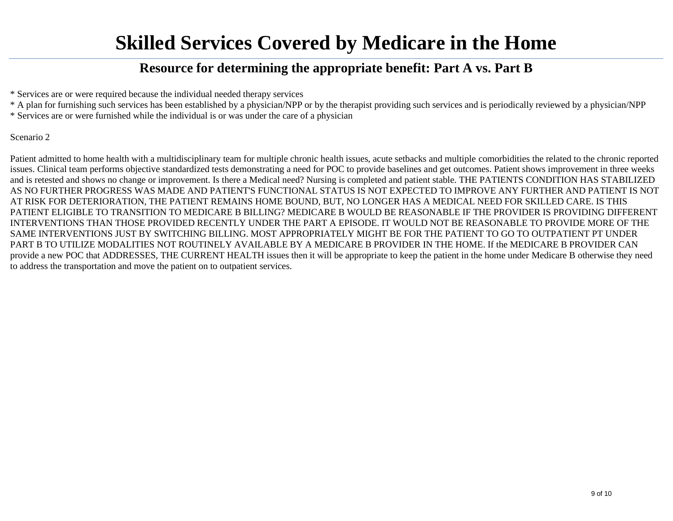#### **Resource for determining the appropriate benefit: Part A vs. Part B**

\* Services are or were required because the individual needed therapy services

\* A plan for furnishing such services has been established by a physician/NPP or by the therapist providing such services and is periodically reviewed by a physician/NPP

\* Services are or were furnished while the individual is or was under the care of a physician

#### Scenario 2

Patient admitted to home health with a multidisciplinary team for multiple chronic health issues, acute setbacks and multiple comorbidities the related to the chronic reported issues. Clinical team performs objective standardized tests demonstrating a need for POC to provide baselines and get outcomes. Patient shows improvement in three weeks and is retested and shows no change or improvement. Is there a Medical need? Nursing is completed and patient stable. THE PATIENTS CONDITION HAS STABILIZED AS NO FURTHER PROGRESS WAS MADE AND PATIENT'S FUNCTIONAL STATUS IS NOT EXPECTED TO IMPROVE ANY FURTHER AND PATIENT IS NOT AT RISK FOR DETERIORATION, THE PATIENT REMAINS HOME BOUND, BUT, NO LONGER HAS A MEDICAL NEED FOR SKILLED CARE. IS THIS PATIENT ELIGIBLE TO TRANSITION TO MEDICARE B BILLING? MEDICARE B WOULD BE REASONABLE IF THE PROVIDER IS PROVIDING DIFFERENT INTERVENTIONS THAN THOSE PROVIDED RECENTLY UNDER THE PART A EPISODE. IT WOULD NOT BE REASONABLE TO PROVIDE MORE OF THE SAME INTERVENTIONS JUST BY SWITCHING BILLING. MOST APPROPRIATELY MIGHT BE FOR THE PATIENT TO GO TO OUTPATIENT PT UNDER PART B TO UTILIZE MODALITIES NOT ROUTINELY AVAILABLE BY A MEDICARE B PROVIDER IN THE HOME. If the MEDICARE B PROVIDER CAN provide a new POC that ADDRESSES, THE CURRENT HEALTH issues then it will be appropriate to keep the patient in the home under Medicare B otherwise they need to address the transportation and move the patient on to outpatient services.